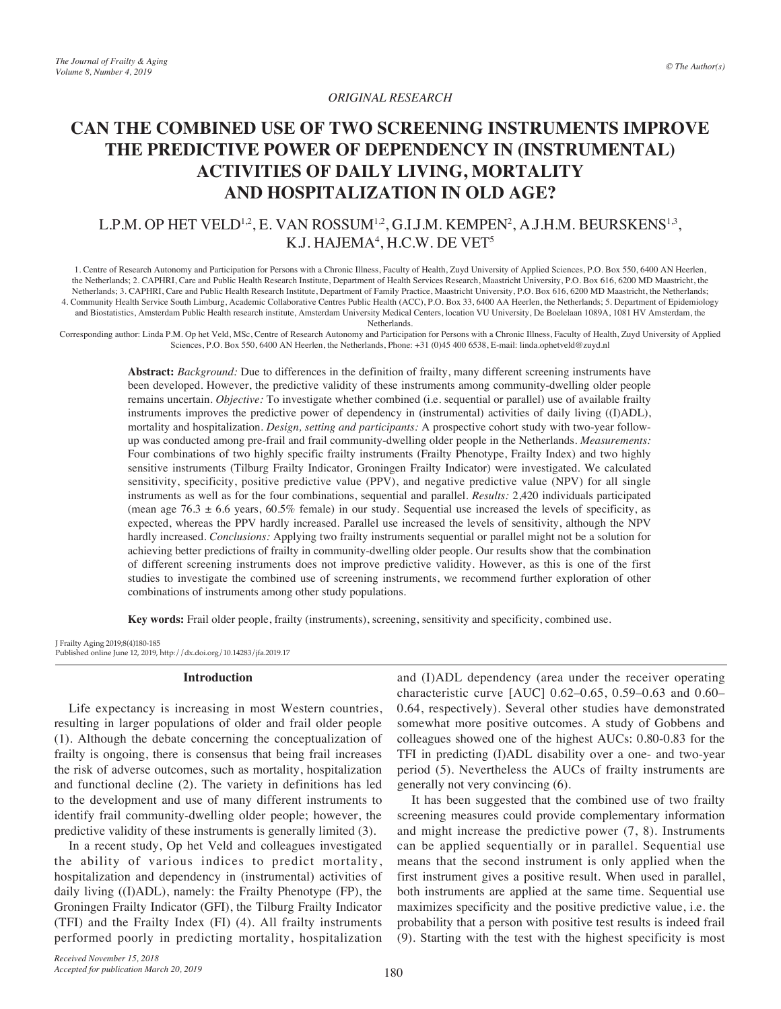# *ORIGINAL RESEARCH*

# **CAN THE COMBINED USE OF TWO SCREENING INSTRUMENTS IMPROVE THE PREDICTIVE POWER OF DEPENDENCY IN (INSTRUMENTAL) ACTIVITIES OF DAILY LIVING, MORTALITY AND HOSPITALIZATION IN OLD AGE?**

# L.P.M. OP HET VELD<sup>1,2</sup>, E. VAN ROSSUM<sup>1,2</sup>, G.I.J.M. KEMPEN<sup>2</sup>, A.J.H.M. BEURSKENS<sup>1,3</sup>, K.J. HAJEMA<sup>4</sup>, H.C.W. DE VET<sup>5</sup>

1. Centre of Research Autonomy and Participation for Persons with a Chronic Illness, Faculty of Health, Zuyd University of Applied Sciences, P.O. Box 550, 6400 AN Heerlen, the Netherlands; 2. CAPHRI, Care and Public Health Research Institute, Department of Health Services Research, Maastricht University, P.O. Box 616, 6200 MD Maastricht, the Netherlands; 3. CAPHRI, Care and Public Health Research Institute, Department of Family Practice, Maastricht University, P.O. Box 616, 6200 MD Maastricht, the Netherlands; 4. Community Health Service South Limburg, Academic Collaborative Centres Public Health (ACC), P.O. Box 33, 6400 AA Heerlen, the Netherlands; 5. Department of Epidemiology and Biostatistics, Amsterdam Public Health research institute, Amsterdam University Medical Centers, location VU University, De Boelelaan 1089A, 1081 HV Amsterdam, the

Netherlands.

Corresponding author: Linda P.M. Op het Veld, MSc, Centre of Research Autonomy and Participation for Persons with a Chronic Illness, Faculty of Health, Zuyd University of Applied Sciences, P.O. Box 550, 6400 AN Heerlen, the Netherlands, Phone: +31 (0)45 400 6538, E-mail: linda.ophetveld@zuyd.nl

> **Abstract:** *Background:* Due to differences in the definition of frailty, many different screening instruments have been developed. However, the predictive validity of these instruments among community-dwelling older people remains uncertain. *Objective:* To investigate whether combined (i.e. sequential or parallel) use of available frailty instruments improves the predictive power of dependency in (instrumental) activities of daily living ((I)ADL), mortality and hospitalization. *Design, setting and participants:* A prospective cohort study with two-year followup was conducted among pre-frail and frail community-dwelling older people in the Netherlands. *Measurements:* Four combinations of two highly specific frailty instruments (Frailty Phenotype, Frailty Index) and two highly sensitive instruments (Tilburg Frailty Indicator, Groningen Frailty Indicator) were investigated. We calculated sensitivity, specificity, positive predictive value (PPV), and negative predictive value (NPV) for all single instruments as well as for the four combinations, sequential and parallel. *Results:* 2,420 individuals participated (mean age 76.3  $\pm$  6.6 years, 60.5% female) in our study. Sequential use increased the levels of specificity, as expected, whereas the PPV hardly increased. Parallel use increased the levels of sensitivity, although the NPV hardly increased. *Conclusions:* Applying two frailty instruments sequential or parallel might not be a solution for achieving better predictions of frailty in community-dwelling older people. Our results show that the combination of different screening instruments does not improve predictive validity. However, as this is one of the first studies to investigate the combined use of screening instruments, we recommend further exploration of other combinations of instruments among other study populations.

**Key words:** Frail older people, frailty (instruments), screening, sensitivity and specificity, combined use.

J Frailty Aging 2019;8(4)180-185 Published online June 12, 2019, http://dx.doi.org/10.14283/jfa.2019.17

## **Introduction**

Life expectancy is increasing in most Western countries, resulting in larger populations of older and frail older people (1). Although the debate concerning the conceptualization of frailty is ongoing, there is consensus that being frail increases the risk of adverse outcomes, such as mortality, hospitalization and functional decline (2). The variety in definitions has led to the development and use of many different instruments to identify frail community-dwelling older people; however, the predictive validity of these instruments is generally limited (3).

In a recent study, Op het Veld and colleagues investigated the ability of various indices to predict mortality, hospitalization and dependency in (instrumental) activities of daily living ((I)ADL), namely: the Frailty Phenotype (FP), the Groningen Frailty Indicator (GFI), the Tilburg Frailty Indicator (TFI) and the Frailty Index (FI) (4). All frailty instruments performed poorly in predicting mortality, hospitalization

*Received November 15, 2018*

*Accepted for publication March 20, 2019*

and (I)ADL dependency (area under the receiver operating characteristic curve [AUC] 0.62–0.65, 0.59–0.63 and 0.60– 0.64, respectively). Several other studies have demonstrated somewhat more positive outcomes. A study of Gobbens and colleagues showed one of the highest AUCs: 0.80-0.83 for the TFI in predicting (I)ADL disability over a one- and two-year period (5). Nevertheless the AUCs of frailty instruments are generally not very convincing (6).

It has been suggested that the combined use of two frailty screening measures could provide complementary information and might increase the predictive power (7, 8). Instruments can be applied sequentially or in parallel. Sequential use means that the second instrument is only applied when the first instrument gives a positive result. When used in parallel, both instruments are applied at the same time. Sequential use maximizes specificity and the positive predictive value, i.e. the probability that a person with positive test results is indeed frail (9). Starting with the test with the highest specificity is most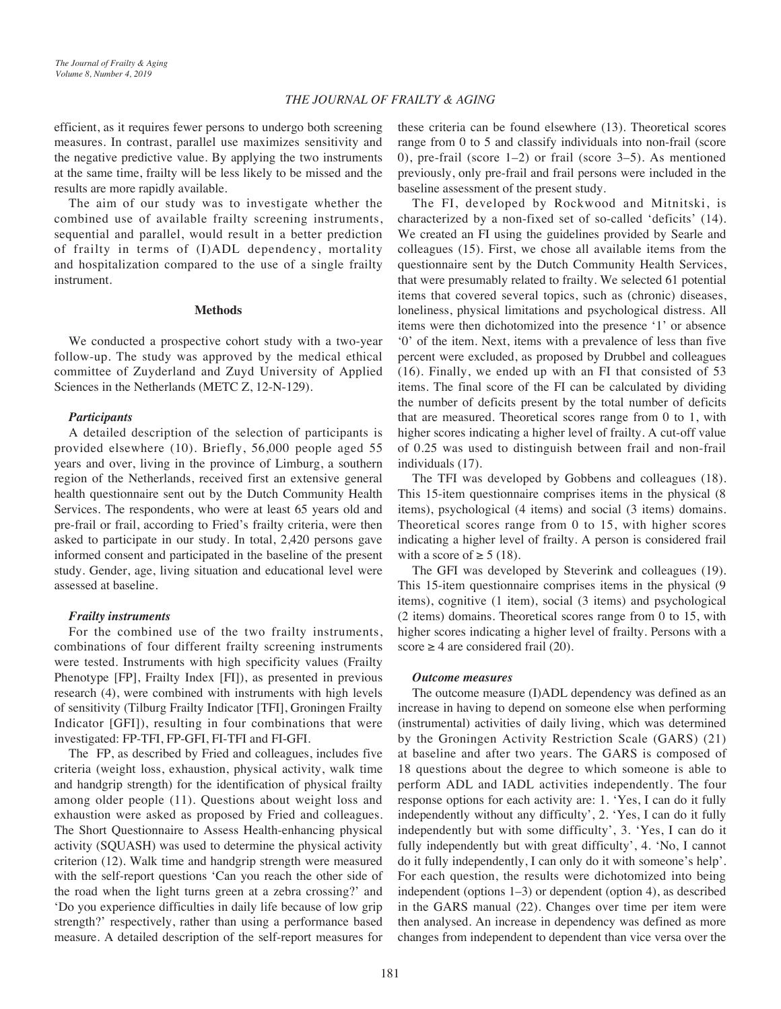# *THE JOURNAL OF FRAILTY & AGING*

efficient, as it requires fewer persons to undergo both screening measures. In contrast, parallel use maximizes sensitivity and the negative predictive value. By applying the two instruments at the same time, frailty will be less likely to be missed and the results are more rapidly available.

The aim of our study was to investigate whether the combined use of available frailty screening instruments, sequential and parallel, would result in a better prediction of frailty in terms of (I)ADL dependency, mortality and hospitalization compared to the use of a single frailty instrument.

#### **Methods**

We conducted a prospective cohort study with a two-year follow-up. The study was approved by the medical ethical committee of Zuyderland and Zuyd University of Applied Sciences in the Netherlands (METC Z, 12-N-129).

# *Participants*

A detailed description of the selection of participants is provided elsewhere (10). Briefly, 56,000 people aged 55 years and over, living in the province of Limburg, a southern region of the Netherlands, received first an extensive general health questionnaire sent out by the Dutch Community Health Services. The respondents, who were at least 65 years old and pre-frail or frail, according to Fried's frailty criteria, were then asked to participate in our study. In total, 2,420 persons gave informed consent and participated in the baseline of the present study. Gender, age, living situation and educational level were assessed at baseline.

# *Frailty instruments*

For the combined use of the two frailty instruments, combinations of four different frailty screening instruments were tested. Instruments with high specificity values (Frailty Phenotype [FP], Frailty Index [FI]), as presented in previous research (4), were combined with instruments with high levels of sensitivity (Tilburg Frailty Indicator [TFI], Groningen Frailty Indicator [GFI]), resulting in four combinations that were investigated: FP-TFI, FP-GFI, FI-TFI and FI-GFI.

The FP, as described by Fried and colleagues, includes five criteria (weight loss, exhaustion, physical activity, walk time and handgrip strength) for the identification of physical frailty among older people (11). Questions about weight loss and exhaustion were asked as proposed by Fried and colleagues. The Short Questionnaire to Assess Health-enhancing physical activity (SQUASH) was used to determine the physical activity criterion (12). Walk time and handgrip strength were measured with the self-report questions 'Can you reach the other side of the road when the light turns green at a zebra crossing?' and 'Do you experience difficulties in daily life because of low grip strength?' respectively, rather than using a performance based measure. A detailed description of the self-report measures for these criteria can be found elsewhere (13). Theoretical scores range from 0 to 5 and classify individuals into non-frail (score 0), pre-frail (score 1–2) or frail (score 3–5). As mentioned previously, only pre-frail and frail persons were included in the baseline assessment of the present study.

The FI, developed by Rockwood and Mitnitski, is characterized by a non-fixed set of so-called 'deficits' (14). We created an FI using the guidelines provided by Searle and colleagues (15). First, we chose all available items from the questionnaire sent by the Dutch Community Health Services, that were presumably related to frailty. We selected 61 potential items that covered several topics, such as (chronic) diseases, loneliness, physical limitations and psychological distress. All items were then dichotomized into the presence '1' or absence '0' of the item. Next, items with a prevalence of less than five percent were excluded, as proposed by Drubbel and colleagues (16). Finally, we ended up with an FI that consisted of 53 items. The final score of the FI can be calculated by dividing the number of deficits present by the total number of deficits that are measured. Theoretical scores range from 0 to 1, with higher scores indicating a higher level of frailty. A cut-off value of 0.25 was used to distinguish between frail and non-frail individuals (17).

The TFI was developed by Gobbens and colleagues (18). This 15-item questionnaire comprises items in the physical (8 items), psychological (4 items) and social (3 items) domains. Theoretical scores range from 0 to 15, with higher scores indicating a higher level of frailty. A person is considered frail with a score of  $\geq 5$  (18).

The GFI was developed by Steverink and colleagues (19). This 15-item questionnaire comprises items in the physical (9 items), cognitive (1 item), social (3 items) and psychological (2 items) domains. Theoretical scores range from 0 to 15, with higher scores indicating a higher level of frailty. Persons with a score  $\geq 4$  are considered frail (20).

#### *Outcome measures*

The outcome measure (I)ADL dependency was defined as an increase in having to depend on someone else when performing (instrumental) activities of daily living, which was determined by the Groningen Activity Restriction Scale (GARS) (21) at baseline and after two years. The GARS is composed of 18 questions about the degree to which someone is able to perform ADL and IADL activities independently. The four response options for each activity are: 1. 'Yes, I can do it fully independently without any difficulty', 2. 'Yes, I can do it fully independently but with some difficulty', 3. 'Yes, I can do it fully independently but with great difficulty', 4. 'No, I cannot do it fully independently, I can only do it with someone's help'. For each question, the results were dichotomized into being independent (options 1–3) or dependent (option 4), as described in the GARS manual (22). Changes over time per item were then analysed. An increase in dependency was defined as more changes from independent to dependent than vice versa over the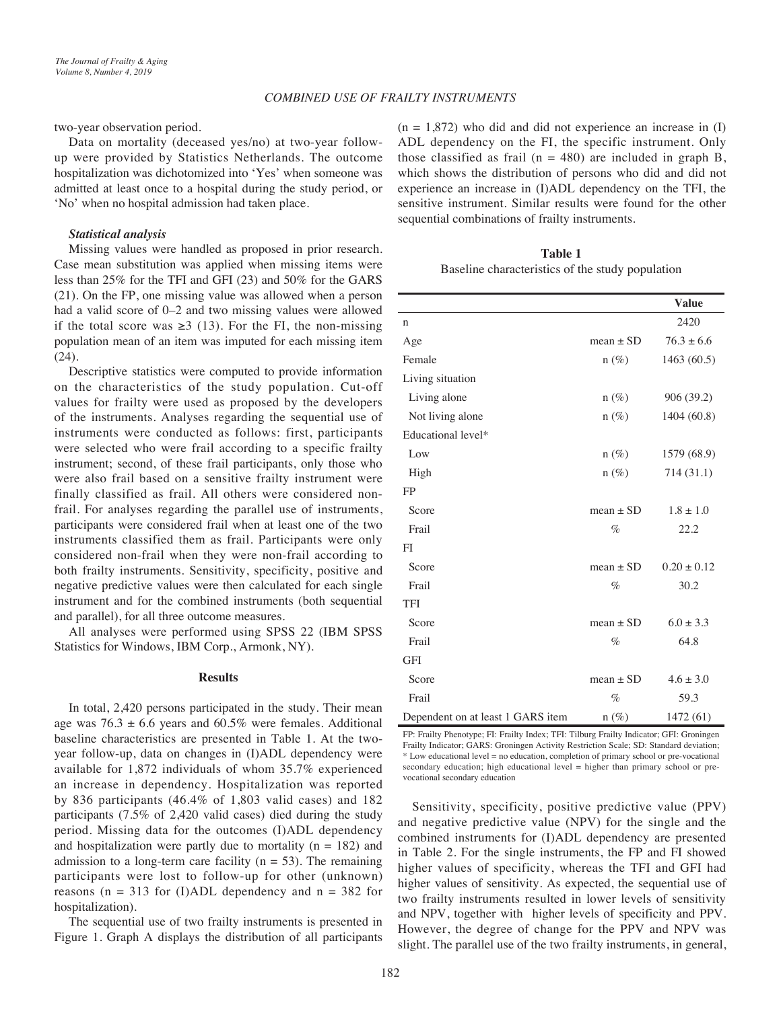two-year observation period.

Data on mortality (deceased yes/no) at two-year followup were provided by Statistics Netherlands. The outcome hospitalization was dichotomized into 'Yes' when someone was admitted at least once to a hospital during the study period, or 'No' when no hospital admission had taken place.

## *Statistical analysis*

Missing values were handled as proposed in prior research. Case mean substitution was applied when missing items were less than 25% for the TFI and GFI (23) and 50% for the GARS (21). On the FP, one missing value was allowed when a person had a valid score of 0–2 and two missing values were allowed if the total score was  $\geq 3$  (13). For the FI, the non-missing population mean of an item was imputed for each missing item (24).

Descriptive statistics were computed to provide information on the characteristics of the study population. Cut-off values for frailty were used as proposed by the developers of the instruments. Analyses regarding the sequential use of instruments were conducted as follows: first, participants were selected who were frail according to a specific frailty instrument; second, of these frail participants, only those who were also frail based on a sensitive frailty instrument were finally classified as frail. All others were considered nonfrail. For analyses regarding the parallel use of instruments, participants were considered frail when at least one of the two instruments classified them as frail. Participants were only considered non-frail when they were non-frail according to both frailty instruments. Sensitivity, specificity, positive and negative predictive values were then calculated for each single instrument and for the combined instruments (both sequential and parallel), for all three outcome measures.

All analyses were performed using SPSS 22 (IBM SPSS Statistics for Windows, IBM Corp., Armonk, NY).

# **Results**

In total, 2,420 persons participated in the study. Their mean age was  $76.3 \pm 6.6$  years and  $60.5\%$  were females. Additional baseline characteristics are presented in Table 1. At the twoyear follow-up, data on changes in (I)ADL dependency were available for 1,872 individuals of whom 35.7% experienced an increase in dependency. Hospitalization was reported by 836 participants (46.4% of 1,803 valid cases) and 182 participants (7.5% of 2,420 valid cases) died during the study period. Missing data for the outcomes (I)ADL dependency and hospitalization were partly due to mortality ( $n = 182$ ) and admission to a long-term care facility ( $n = 53$ ). The remaining participants were lost to follow-up for other (unknown) reasons ( $n = 313$  for (I)ADL dependency and  $n = 382$  for hospitalization).

The sequential use of two frailty instruments is presented in Figure 1. Graph A displays the distribution of all participants  $(n = 1,872)$  who did and did not experience an increase in (I) ADL dependency on the FI, the specific instrument. Only those classified as frail ( $n = 480$ ) are included in graph B, which shows the distribution of persons who did and did not experience an increase in (I)ADL dependency on the TFI, the sensitive instrument. Similar results were found for the other sequential combinations of frailty instruments.

**Table 1** Baseline characteristics of the study population

|                                   |               | <b>Value</b>    |
|-----------------------------------|---------------|-----------------|
| n                                 |               | 2420            |
| Age                               | mean $\pm$ SD | $76.3 \pm 6.6$  |
| Female                            | $n(\%)$       | 1463 (60.5)     |
| Living situation                  |               |                 |
| Living alone                      | $n(\%)$       | 906 (39.2)      |
| Not living alone                  | $n(\%)$       | 1404 (60.8)     |
| Educational level*                |               |                 |
| Low                               | $n (\%)$      | 1579 (68.9)     |
| High                              | $n(\%)$       | 714 (31.1)      |
| <b>FP</b>                         |               |                 |
| Score                             | $mean \pm SD$ | $1.8 \pm 1.0$   |
| Frail                             | $\%$          | 22.2            |
| FI                                |               |                 |
| Score                             | $mean \pm SD$ | $0.20 \pm 0.12$ |
| Frail                             | $\%$          | 30.2            |
| <b>TFI</b>                        |               |                 |
| Score                             | mean $\pm$ SD | $6.0 \pm 3.3$   |
| Frail                             | $\%$          | 64.8            |
| GFI                               |               |                 |
| Score                             | mean $\pm$ SD | $4.6 \pm 3.0$   |
| Frail                             | $\%$          | 59.3            |
| Dependent on at least 1 GARS item | $n(\%)$       | 1472 (61)       |

FP: Frailty Phenotype; FI: Frailty Index; TFI: Tilburg Frailty Indicator; GFI: Groningen Frailty Indicator; GARS: Groningen Activity Restriction Scale; SD: Standard deviation; \* Low educational level = no education, completion of primary school or pre-vocational secondary education; high educational level = higher than primary school or prevocational secondary education

Sensitivity, specificity, positive predictive value (PPV) and negative predictive value (NPV) for the single and the combined instruments for (I)ADL dependency are presented in Table 2. For the single instruments, the FP and FI showed higher values of specificity, whereas the TFI and GFI had higher values of sensitivity. As expected, the sequential use of two frailty instruments resulted in lower levels of sensitivity and NPV, together with higher levels of specificity and PPV. However, the degree of change for the PPV and NPV was slight. The parallel use of the two frailty instruments, in general,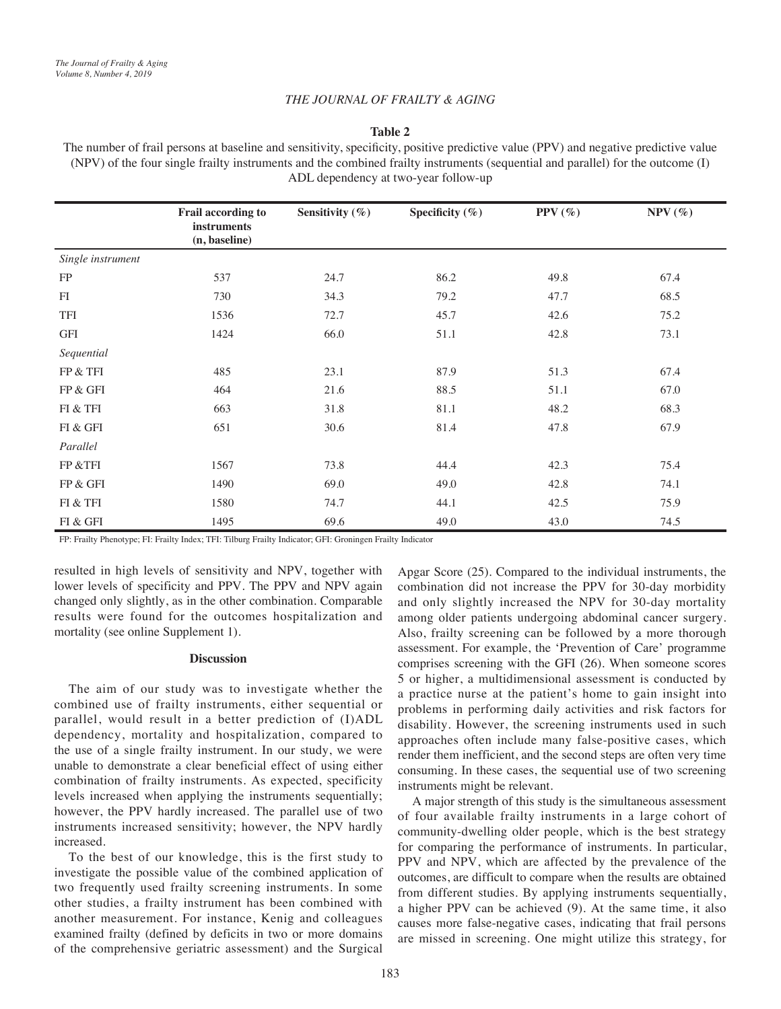# *THE JOURNAL OF FRAILTY & AGING*

# **Table 2**

The number of frail persons at baseline and sensitivity, specificity, positive predictive value (PPV) and negative predictive value (NPV) of the four single frailty instruments and the combined frailty instruments (sequential and parallel) for the outcome (I) ADL dependency at two-year follow-up

|                          | Frail according to                  | Sensitivity (%) | Specificity (%) | PPV $(\%)$ | $NPV$ (%) |
|--------------------------|-------------------------------------|-----------------|-----------------|------------|-----------|
|                          | <b>instruments</b><br>(n, baseline) |                 |                 |            |           |
| Single instrument        |                                     |                 |                 |            |           |
| FP                       | 537                                 | 24.7            | 86.2            | 49.8       | 67.4      |
| FI                       | 730                                 | 34.3            | 79.2            | 47.7       | 68.5      |
| TFI                      | 1536                                | 72.7            | 45.7            | 42.6       | 75.2      |
| GFI                      | 1424                                | 66.0            | 51.1            | 42.8       | 73.1      |
| Sequential               |                                     |                 |                 |            |           |
| FP & TFI                 | 485                                 | 23.1            | 87.9            | 51.3       | 67.4      |
| FP & GFI                 | 464                                 | 21.6            | 88.5            | 51.1       | 67.0      |
| FI & TFI                 | 663                                 | 31.8            | 81.1            | 48.2       | 68.3      |
| ${\rm FI}$ & ${\rm GFI}$ | 651                                 | 30.6            | 81.4            | 47.8       | 67.9      |
| Parallel                 |                                     |                 |                 |            |           |
| FP &TFI                  | 1567                                | 73.8            | 44.4            | 42.3       | 75.4      |
| FP & GFI                 | 1490                                | 69.0            | 49.0            | 42.8       | 74.1      |
| FI & TFI                 | 1580                                | 74.7            | 44.1            | 42.5       | 75.9      |
| FI & GFI                 | 1495                                | 69.6            | 49.0            | 43.0       | 74.5      |

FP: Frailty Phenotype; FI: Frailty Index; TFI: Tilburg Frailty Indicator; GFI: Groningen Frailty Indicator

resulted in high levels of sensitivity and NPV, together with lower levels of specificity and PPV. The PPV and NPV again changed only slightly, as in the other combination. Comparable results were found for the outcomes hospitalization and mortality (see online Supplement 1).

#### **Discussion**

The aim of our study was to investigate whether the combined use of frailty instruments, either sequential or parallel, would result in a better prediction of (I)ADL dependency, mortality and hospitalization, compared to the use of a single frailty instrument. In our study, we were unable to demonstrate a clear beneficial effect of using either combination of frailty instruments. As expected, specificity levels increased when applying the instruments sequentially; however, the PPV hardly increased. The parallel use of two instruments increased sensitivity; however, the NPV hardly increased.

To the best of our knowledge, this is the first study to investigate the possible value of the combined application of two frequently used frailty screening instruments. In some other studies, a frailty instrument has been combined with another measurement. For instance, Kenig and colleagues examined frailty (defined by deficits in two or more domains of the comprehensive geriatric assessment) and the Surgical

Apgar Score (25). Compared to the individual instruments, the combination did not increase the PPV for 30-day morbidity and only slightly increased the NPV for 30-day mortality among older patients undergoing abdominal cancer surgery. Also, frailty screening can be followed by a more thorough assessment. For example, the 'Prevention of Care' programme comprises screening with the GFI (26). When someone scores 5 or higher, a multidimensional assessment is conducted by a practice nurse at the patient's home to gain insight into problems in performing daily activities and risk factors for disability. However, the screening instruments used in such approaches often include many false-positive cases, which render them inefficient, and the second steps are often very time consuming. In these cases, the sequential use of two screening instruments might be relevant.

A major strength of this study is the simultaneous assessment of four available frailty instruments in a large cohort of community-dwelling older people, which is the best strategy for comparing the performance of instruments. In particular, PPV and NPV, which are affected by the prevalence of the outcomes, are difficult to compare when the results are obtained from different studies. By applying instruments sequentially, a higher PPV can be achieved (9). At the same time, it also causes more false-negative cases, indicating that frail persons are missed in screening. One might utilize this strategy, for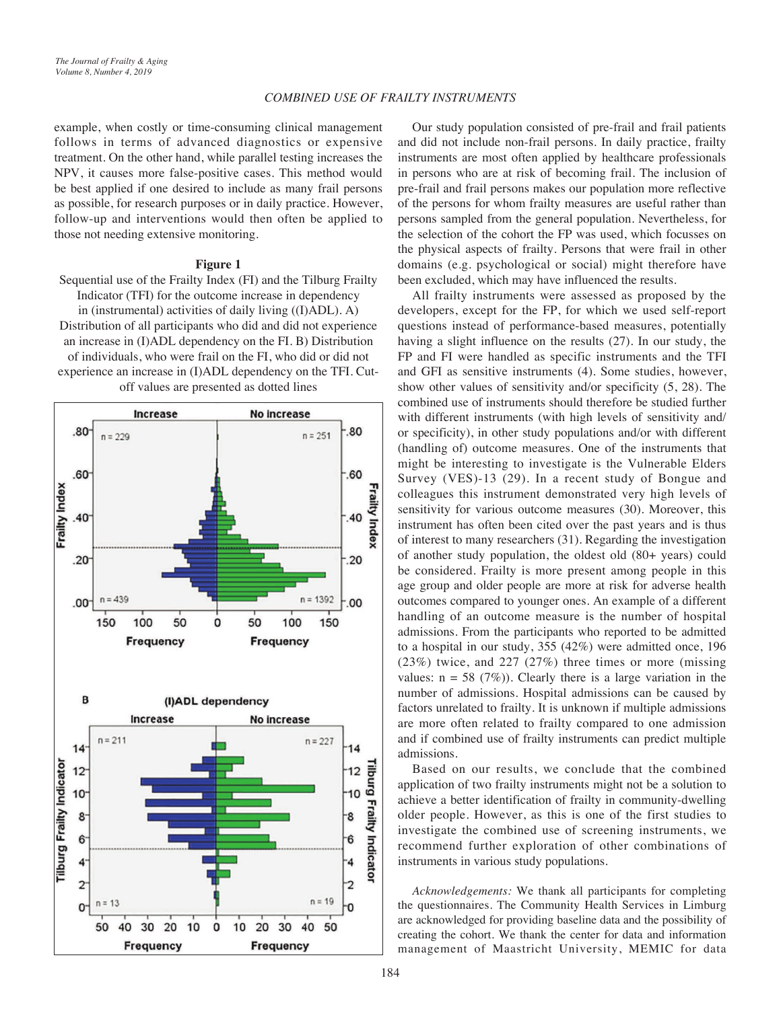# *COMBINED USE OF FRAILTY INSTRUMENTS*

example, when costly or time-consuming clinical management follows in terms of advanced diagnostics or expensive treatment. On the other hand, while parallel testing increases the NPV, it causes more false-positive cases. This method would be best applied if one desired to include as many frail persons as possible, for research purposes or in daily practice. However, follow-up and interventions would then often be applied to those not needing extensive monitoring.

# **Figure 1**

Sequential use of the Frailty Index (FI) and the Tilburg Frailty Indicator (TFI) for the outcome increase in dependency in (instrumental) activities of daily living ((I)ADL). A) Distribution of all participants who did and did not experience an increase in (I)ADL dependency on the FI. B) Distribution of individuals, who were frail on the FI, who did or did not experience an increase in (I)ADL dependency on the TFI. Cutoff values are presented as dotted lines



Our study population consisted of pre-frail and frail patients and did not include non-frail persons. In daily practice, frailty instruments are most often applied by healthcare professionals in persons who are at risk of becoming frail. The inclusion of pre-frail and frail persons makes our population more reflective of the persons for whom frailty measures are useful rather than persons sampled from the general population. Nevertheless, for the selection of the cohort the FP was used, which focusses on the physical aspects of frailty. Persons that were frail in other domains (e.g. psychological or social) might therefore have been excluded, which may have influenced the results.

All frailty instruments were assessed as proposed by the developers, except for the FP, for which we used self-report questions instead of performance-based measures, potentially having a slight influence on the results (27). In our study, the FP and FI were handled as specific instruments and the TFI and GFI as sensitive instruments (4). Some studies, however, show other values of sensitivity and/or specificity (5, 28). The combined use of instruments should therefore be studied further with different instruments (with high levels of sensitivity and/ or specificity), in other study populations and/or with different (handling of) outcome measures. One of the instruments that might be interesting to investigate is the Vulnerable Elders Survey (VES)-13 (29). In a recent study of Bongue and colleagues this instrument demonstrated very high levels of sensitivity for various outcome measures (30). Moreover, this instrument has often been cited over the past years and is thus of interest to many researchers (31). Regarding the investigation of another study population, the oldest old (80+ years) could be considered. Frailty is more present among people in this age group and older people are more at risk for adverse health outcomes compared to younger ones. An example of a different handling of an outcome measure is the number of hospital admissions. From the participants who reported to be admitted to a hospital in our study, 355 (42%) were admitted once, 196 (23%) twice, and 227 (27%) three times or more (missing values:  $n = 58$  (7%)). Clearly there is a large variation in the number of admissions. Hospital admissions can be caused by factors unrelated to frailty. It is unknown if multiple admissions are more often related to frailty compared to one admission and if combined use of frailty instruments can predict multiple admissions.

Based on our results, we conclude that the combined application of two frailty instruments might not be a solution to achieve a better identification of frailty in community-dwelling older people. However, as this is one of the first studies to investigate the combined use of screening instruments, we recommend further exploration of other combinations of instruments in various study populations.

*Acknowledgements:* We thank all participants for completing the questionnaires. The Community Health Services in Limburg are acknowledged for providing baseline data and the possibility of creating the cohort. We thank the center for data and information management of Maastricht University, MEMIC for data